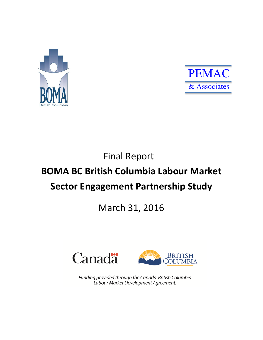



# Final Report

# **BOMA BC British Columbia Labour Market Sector Engagement Partnership Study**

# March 31, 2016





Funding provided through the Canada-British Columbia Labour Market Development Agreement.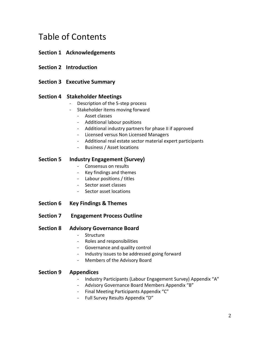# Table of Contents

### **Section 1 Acknowledgements**

- **Section 2 Introduction**
- **Section 3 Executive Summary**

#### **Section 4 Stakeholder Meetings**

- Description of the 5-step process
- Stakeholder items moving forward
	- Asset classes
	- Additional labour positions
	- Additional industry partners for phase II if approved
	- Licensed versus Non Licensed Managers
	- Additional real estate sector material expert participants
	- Business / Asset locations

#### **Section 5 Industry Engagement (Survey)**

- Consensus on results
- Key findings and themes
- Labour positions / titles
- Sector asset classes
- Sector asset locations
- **Section 6 Key Findings & Themes**
- **Section 7 Engagement Process Outline**

#### **Section 8 Advisory Governance Board**

- Structure
- Roles and responsibilities
- Governance and quality control
- Industry issues to be addressed going forward
- Members of the Advisory Board

#### **Section 9 Appendices**

- Industry Participants (Labour Engagement Survey) Appendix "A"
- Advisory Governance Board Members Appendix "B"
- Final Meeting Participants Appendix "C"
- Full Survey Results Appendix "D"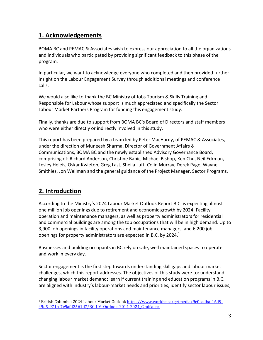### **1. Acknowledgements**

BOMA BC and PEMAC & Associates wish to express our appreciation to all the organizations and individuals who participated by providing significant feedback to this phase of the program.

In particular, we want to acknowledge everyone who completed and then provided further insight on the Labour Engagement Survey through additional meetings and conference calls.

We would also like to thank the BC Ministry of Jobs Tourism & Skills Training and Responsible for Labour whose support is much appreciated and specifically the Sector Labour Market Partners Program for funding this engagement study.

Finally, thanks are due to support from BOMA BC's Board of Directors and staff members who were either directly or indirectly involved in this study.

This report has been prepared by a team led by Peter MacHardy, of PEMAC & Associates, under the direction of Muneesh Sharma, Director of Government Affairs & Communications, BOMA BC and the newly established Advisory Governance Board, comprising of: Richard Anderson, Christine Babic, Michael Bishop, Ken Chu, Neil Eckman, Lesley Heieis, Oskar Kwieton, Greg Last, Sheila Luft, Colin Murray, Derek Page, Wayne Smithies, Jon Wellman and the general guidance of the Project Manager, Sector Programs.

## **2. Introduction**

 $\overline{\phantom{a}}$ 

According to the Ministry's 2024 Labour Market Outlook Report B.C. is expecting almost one million job openings due to retirement and economic growth by 2024. Facility operation and maintenance managers, as well as property administrators for residential and commercial buildings are among the top occupations that will be in high demand. Up to 3,900 job openings in facility operations and maintenance managers, and 6,200 job openings for property administrators are expected in B.C. by 2024. $<sup>1</sup>$ </sup>

Businesses and building occupants in BC rely on safe, well maintained spaces to operate and work in every day.

Sector engagement is the first step towards understanding skill gaps and labour market challenges, which this report addresses. The objectives of this study were to: understand changing labour market demand; learn if current training and education programs in B.C. are aligned with industry's labour-market needs and priorities; identify sector labour issues;

<sup>&</sup>lt;sup>1</sup> British Columbia 2024 Labour Market Outlook [https://www.workbc.ca/getmedia/9e0cadba-16d9-](https://www.workbc.ca/getmedia/9e0cadba-16d9-49d5-971b-7e9afd2561d7/BC-LM-Outlook-2014-2024_C.pdf.aspx) [49d5-971b-7e9afd2561d7/BC-LM-Outlook-2014-2024\\_C.pdf.aspx](https://www.workbc.ca/getmedia/9e0cadba-16d9-49d5-971b-7e9afd2561d7/BC-LM-Outlook-2014-2024_C.pdf.aspx)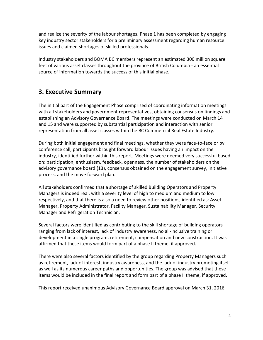and realize the severity of the labour shortages. Phase 1 has been completed by engaging key industry sector stakeholders for a preliminary assessment regarding human resource issues and claimed shortages of skilled professionals.

Industry stakeholders and BOMA BC members represent an estimated 300 million square feet of various asset classes throughout the province of British Columbia - an essential source of information towards the success of this initial phase.

### **3. Executive Summary**

The initial part of the Engagement Phase comprised of coordinating information meetings with all stakeholders and government representatives, obtaining consensus on findings and establishing an Advisory Governance Board. The meetings were conducted on March 14 and 15 and were supported by substantial participation and interaction with senior representation from all asset classes within the BC Commercial Real Estate Industry.

During both initial engagement and final meetings, whether they were face-to-face or by conference call, participants brought forward labour issues having an impact on the industry, identified further within this report. Meetings were deemed very successful based on: participation, enthusiasm, feedback, openness, the number of stakeholders on the advisory governance board (13), consensus obtained on the engagement survey, initiative process, and the move forward plan.

All stakeholders confirmed that a shortage of skilled Building Operators and Property Managers is indeed real, with a severity level of high to medium and medium to low respectively, and that there is also a need to review other positions, identified as: Asset Manager, Property Administrator, Facility Manager, Sustainability Manager, Security Manager and Refrigeration Technician.

Several factors were identified as contributing to the skill shortage of building operators ranging from lack of interest, lack of industry awareness, no all-inclusive training or development in a single program, retirement, compensation and new construction. It was affirmed that these items would form part of a phase II theme, if approved.

There were also several factors identified by the group regarding Property Managers such as retirement, lack of interest, industry awareness, and the lack of industry promoting itself as well as its numerous career paths and opportunities. The group was advised that these items would be included in the final report and form part of a phase II theme, if approved.

This report received unanimous Advisory Governance Board approval on March 31, 2016.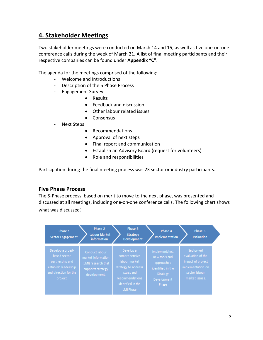### **4. Stakeholder Meetings**

Two stakeholder meetings were conducted on March 14 and 15, as well as five one-on-one conference calls during the week of March 21. A list of final meeting participants and their respective companies can be found under **Appendix "C"**.

The agenda for the meetings comprised of the following:

- Welcome and Introductions
- Description of the 5 Phase Process
- Engagement Survey
	- Results
	- Feedback and discussion
	- Other labour related issues
	- Consensus
- Next Steps
	- Recommendations
	- Approval of next steps
	- Final report and communication
	- Establish an Advisory Board (request for volunteers)
	- Role and responsibilities

Participation during the final meeting process was 23 sector or industry participants.

#### **Five Phase Process**

The 5-Phase process, based on merit to move to the next phase, was presented and discussed at all meetings, including one-on-one conference calls. The following chart shows what was discussed:

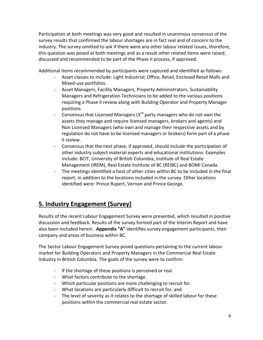Participation at both meetings was very good and resulted in unanimous consensus of the survey results that confirmed the labour shortages are in fact real and of concern to the industry. The survey omitted to ask if there were any other labour related issues, therefore, this question was posed at both meetings and as a result other related items were raised, discussed and recommended to be part of the Phase II process, if approved.

Additional items recommended by participants were captured and identified as follows:

- Asset classes to include: Light Industrial; Office, Retail, Enclosed Retail Malls and Mixed-use portfolios.
- Asset Managers, Facility Managers, Property Administrators, Sustainability Managers and Refrigeration Technicians to be added to the various positions requiring a Phase II review along with Building Operator and Property Manager positions.
- Consensus that Licensed Managers  $(3^{rd}$  party managers who do not own the assets they manage and require licensed managers, brokers and agents) and Non Licensed Managers (who own and manage their respective assets and by regulation do not have to be licensed managers or brokers) form part of a phase II review.
- Consensus that the next phase, if approved, should include the participation of other industry subject material experts and educational institutions. Examples include: BCIT, University of British Columbia, Institute of Real Estate Management (IREM), Real Estate Institute of BC (REIBC) and BOMI Canada.
- The meetings identified a host of other cities within BC to be included in the final report, in addition to the locations included in the survey. Other locations identified were: Prince Rupert, Vernon and Prince George.

## **5. Industry Engagement (Survey)**

Results of the recent Labour Engagement Survey were presented, which resulted in positive discussion and feedback. Results of the survey formed part of the Interim Report and have also been included herein. **Appendix "A"** identifies survey engagement participants, their company and areas of business within BC.

The Sector Labour Engagement Survey posed questions pertaining to the current labour market for Building Operators and Property Managers in the Commercial Real Estate Industry in British Columbia. The goals of the survey were to confirm:

- If the shortage of these positions is perceived or real.
- What factors contribute to the shortage.
- Which particular positions are more challenging to recruit for.
- What locations are particularly difficult to recruit for, and
- The level of severity as it relates to the shortage of skilled labour for these positions within the commercial real estate sector.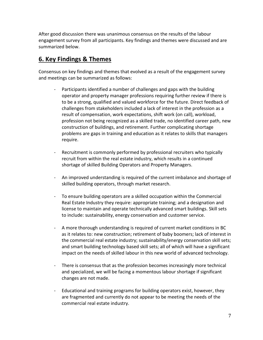After good discussion there was unanimous consensus on the results of the labour engagement survey from all participants. Key findings and themes were discussed and are summarized below.

## **6. Key Findings & Themes**

Consensus on key findings and themes that evolved as a result of the engagement survey and meetings can be summarized as follows:

- Participants identified a number of challenges and gaps with the building operator and property manager professions requiring further review if there is to be a strong, qualified and valued workforce for the future. Direct feedback of challenges from stakeholders included a lack of interest in the profession as a result of compensation, work expectations, shift work (on call), workload, profession not being recognized as a skilled trade, no identified career path, new construction of buildings, and retirement. Further complicating shortage problems are gaps in training and education as it relates to skills that managers require.
- Recruitment is commonly performed by professional recruiters who typically recruit from within the real estate industry, which results in a continued shortage of skilled Building Operators and Property Managers.
- An improved understanding is required of the current imbalance and shortage of skilled building operators, through market research.
- To ensure building operators are a skilled occupation within the Commercial Real Estate Industry they require: appropriate training; and a designation and license to maintain and operate technically advanced smart buildings. Skill sets to include: sustainability, energy conservation and customer service.
- A more thorough understanding is required of current market conditions in BC as it relates to: new construction; retirement of baby boomers; lack of interest in the commercial real estate industry; sustainability/energy conservation skill sets; and smart building technology based skill sets; all of which will have a significant impact on the needs of skilled labour in this new world of advanced technology.
- There is consensus that as the profession becomes increasingly more technical and specialized, we will be facing a momentous labour shortage if significant changes are not made.
- Educational and training programs for building operators exist, however, they are fragmented and currently do not appear to be meeting the needs of the commercial real estate industry.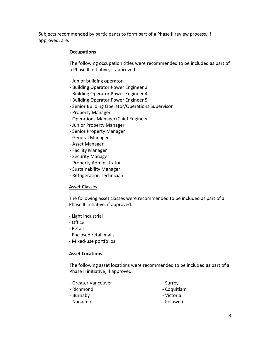Subjects recommended by participants to form part of a Phase II review process, if approved, are:

#### **Occupations**

The following occupation titles were recommended to be included as part of a Phase II initiative, if approved:

- Junior building operator
- Building Operator Power Engineer 3
- Building Operator Power Engineer 4
- Building Operator Power Engineer 5
- Senior Building Operator/Operations Supervisor
- Property Manager
- Operations Manager/Chief Engineer
- Junior Property Manager
- Senior Property Manager
- General Manager
- Asset Manager
- Facility Manager
- Security Manager
- Property Administrator
- Sustainability Manager
- Refrigeration Technician

#### **Asset Classes**

The following asset classes were recommended to be included as part of a Phase II initiative, if approved:

- Light industrial
- Office
- Retail
- Enclosed retail malls
- Mixed-use portfolios

#### **Asset Locations**

The following asset locations were recommended to be included as part of a Phase II initiative, if approved:

| - Greater Vancouver | - Surrey    |
|---------------------|-------------|
| - Richmond          | - Coquitlam |
| - Burnaby           | - Victoria  |
| - Nanaimo           | - Kelowna   |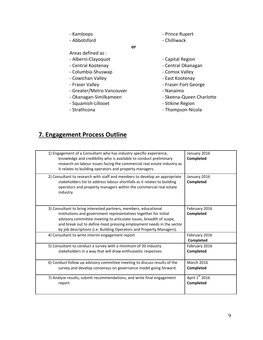- Kamloops **EXACTE 120 FOR SEAL 120 FOR A PRINCE RUPERT**
- Abbotsford The Chilliwack

**or**

- Areas defined as :
- Alberni-Clayoquot Capital Region
- 
- Columbia-Shuswap Comox Valley
- Cowichan Valley **Accord Community** East Kootenay
- 
- Greater/Metro Vancouver Nanaimo
- 
- Squamish-Lillooet  **Stikine Region**
- 
- 
- Central Kootenay **Central Okanagan** 
	-
	-
- Fraser Valley **Accord Follow Fraser-Fort George** 
	-
- Okanagan-Similkameen Skeena-Queen Charlotte
	-
- Strathcona Thompson-Nicola

## **7. Engagement Process Outline**

| 1) Engagement of a Consultant who has industry specific experience,<br>knowledge and credibility who is available to conduct preliminary<br>research on labour issues facing the commercial real estate industry as<br>it relates to building operators and property managers.                                                                             | January 2016<br>Completed      |
|------------------------------------------------------------------------------------------------------------------------------------------------------------------------------------------------------------------------------------------------------------------------------------------------------------------------------------------------------------|--------------------------------|
| 2) Consultant to research with staff and members to develop an appropriate<br>stakeholders list to address labour shortfalls as it relates to building<br>operators and property managers within the commercial real estate<br>industry                                                                                                                    | January 2016<br>Completed      |
| 3) Consultant to bring interested partners, members, educational<br>institutions and government representatives together for initial<br>advisory committee meeting to articulate issues, breadth of scope,<br>and break out to define most pressing employment needs in the sector<br>by job descriptions (i.e. Building Operators and Property Managers). | February 2016<br>Completed     |
| 4) Consultant to write interim engagement report                                                                                                                                                                                                                                                                                                           | February 2016<br>Completed     |
| 5) Consultant to conduct a survey with a minimum of 20 industry<br>stakeholders in a way that will draw enthusiastic responses.                                                                                                                                                                                                                            | February 2016<br>Completed     |
| 6) Conduct follow up advisory committee meeting to discuss results of the<br>survey and develop consensus on governance model going forward.                                                                                                                                                                                                               | <b>March 2016</b><br>Completed |
| 7) Analyze results, submit recommendations, and write final engagement<br>report.                                                                                                                                                                                                                                                                          | April 1st 2016<br>Completed    |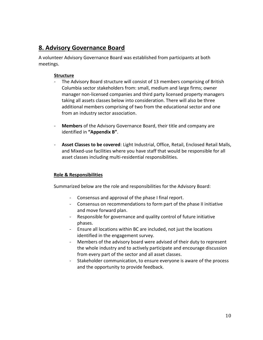### **8. Advisory Governance Board**

A volunteer Advisory Governance Board was established from participants at both meetings.

#### **Structure**

- The Advisory Board structure will consist of 13 members comprising of British Columbia sector stakeholders from: small, medium and large firms; owner manager non-licensed companies and third party licensed property managers taking all assets classes below into consideration. There will also be three additional members comprising of two from the educational sector and one from an industry sector association.
- **Members** of the Advisory Governance Board, their title and company are identified in **"Appendix B"**.
- **Asset Classes to be covered**: Light Industrial, Office, Retail, Enclosed Retail Malls, and Mixed-use facilities where you have staff that would be responsible for all asset classes including multi-residential responsibilities.

#### **Role & Responsibilities**

Summarized below are the role and responsibilities for the Advisory Board:

- Consensus and approval of the phase I final report.
- Consensus on recommendations to form part of the phase II initiative and move forward plan.
- Responsible for governance and quality control of future initiative phases.
- Ensure all locations within BC are included, not just the locations identified in the engagement survey.
- Members of the advisory board were advised of their duty to represent the whole industry and to actively participate and encourage discussion from every part of the sector and all asset classes.
- Stakeholder communication, to ensure everyone is aware of the process and the opportunity to provide feedback.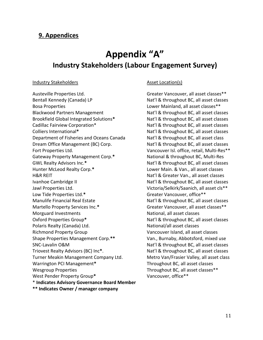### **9. Appendices**

# **Appendix "A" Industry Stakeholders (Labour Engagement Survey)**

#### Industry Stakeholders **Asset Location(s)**

Austeville Properties Ltd. The Community of Greater Vancouver, all asset classes \*\* Bentall Kennedy (Canada) LP Nat'l & throughout BC, all asset classes Bosa Properties Lower Mainland, all asset classes\*\* Blackwood Partners Management Nat'l & throughout BC, all asset classes Brookfield Global Integrated Solutions**\*** Nat'l & throughout BC, all asset classes Cadillac Fairview Corporation\* Nat'l & throughout BC, all asset classes Colliers International\* **Native State Colliers International\*** Native Native Native Native Native Native Native N Department of Fisheries and Oceans Canada Nat'l & throughout BC, all asset class Dream Office Management (BC) Corp. Nat'l & throughout BC, all asset classes Fort Properties Ltd. The Community of the Vancouver Isl. office, retail, Multi-Res<sup>\*\*</sup> Gateway Property Management Corp.\* National & throughout BC, Multi-Res GWL Realty Advisors Inc.\* The Contract Contract Automateur Advisors Inc.\* Nat'l & throughout BC, all asset classes Hunter McLeod Realty Corp.**\*** Lower Main. & Van., all asset classes H&R REIT National According to the Matrix National National According National According National According National According National According National According National According National According National According Ivanhoe Cambridge II Nat'l & throughout BC, all asset classes Jawl Properties Ltd. Victoria/Selkirk/Saanich, all asset cls\*\* Low Tide Properties Ltd.\* The Communication of the Greater Vancouver, office<sup>\*\*</sup> Manulife Financial Real Estate Nation Nat'l & throughout BC, all asset classes Martello Property Services Inc.\* The Contemporal Greater Vancouver, all asset classes<sup>\*\*</sup> Morguard Investments National, all asset classes Oxford Properties Group<sup>\*</sup> Nat'l & throughout BC, all asset classes Polaris Realty (Canada) Ltd. National/all asset classes Richmond Property Group Vancouver Island, all asset classes Shape Properties Management Corp.**\*\*** Van., Burnaby, Abbotsford, mixed use SNC-Lavalin O&M Natil & throughout BC, all asset classes Triovest Realty Advisors (BC) Inc<sup>\*</sup>. Nat'l & throughout BC, all asset classes Turner Meakin Management Company Ltd. Metro Van/Frasier Valley, all asset class Warrington PCI Management**\*** Throughout BC, all asset classes Wesgroup Properties Throughout BC, all asset classes \*\* West Pender Property Group**\*** Vancouver, office\*\* \* **Indicates Advisory Governance Board Member**

**\*\* Indicates Owner / manager company**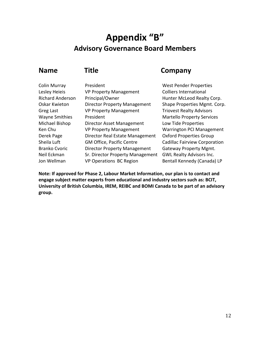# **Appendix "B" Advisory Governance Board Members**

| <b>Name</b>             | Title                               | Company                |
|-------------------------|-------------------------------------|------------------------|
| <b>Colin Murray</b>     | President                           | West Pender F          |
| Lesley Heieis           | <b>VP Property Management</b>       | Colliers Interna       |
| <b>Richard Anderson</b> | Principal/Owner                     | <b>Hunter McLeo</b>    |
| <b>Oskar Kwieton</b>    | <b>Director Property Management</b> | <b>Shape Propert</b>   |
| Greg Last               | <b>VP Property Management</b>       | <b>Triovest Realty</b> |
| <b>Wayne Smithies</b>   | President                           | Martello Prope         |
| Michael Bishop          | Director Asset Management           | Low Tide Prop          |
| Ken Chu                 | <b>VP Property Management</b>       | <b>Warrington PC</b>   |
| Derek Page              | Director Real Estate Management     | <b>Oxford Proper</b>   |
| Sheila Luft             | <b>GM Office, Pacific Centre</b>    | Cadillac Fairvie       |
| <b>Branko Cvoric</b>    | <b>Director Property Management</b> | Gateway Prop           |
| Neil Eckman             | Sr. Director Property Management    | <b>GWL Realty Ad</b>   |
| Jon Wellman             | <b>VP Operations BC Region</b>      | <b>Bentall Kenner</b>  |

est Pender Properties Iliers International Inter McLeod Realty Corp. ape Properties Mgmt. Corp. iovest Realty Advisors artello Property Services w Tide Properties arrington PCI Management ford Properties Group dillac Fairview Corporation Iteway Property Mgmt. NL Realty Advisors Inc. Intall Kennedy (Canada) LP

**Note: If approved for Phase 2, Labour Market Information, our plan is to contact and engage subject matter experts from educational and industry sectors such as: BCIT, University of British Columbia, IREM, REIBC and BOMI Canada to be part of an advisory group.**